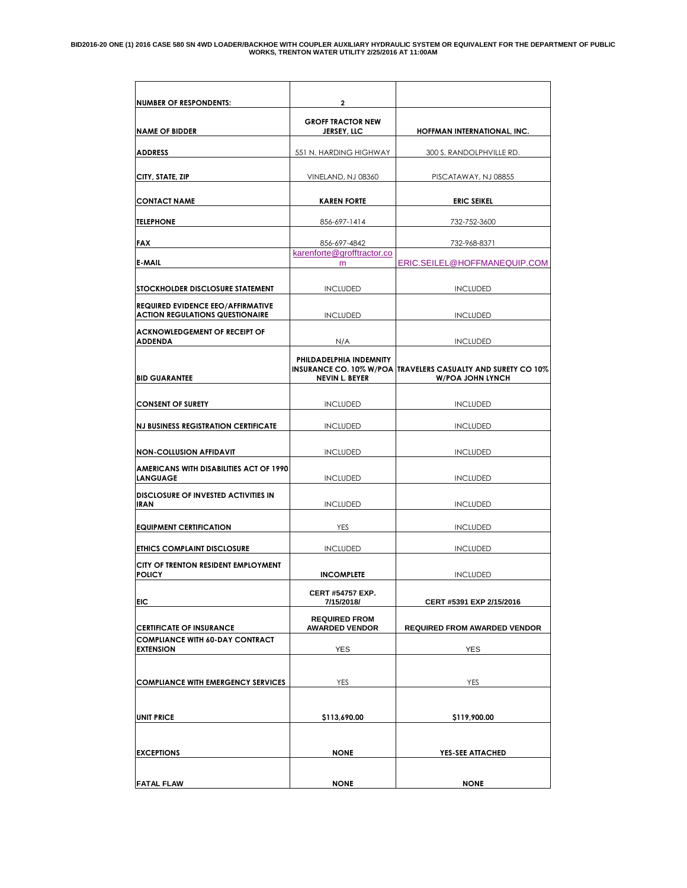| <b>NUMBER OF RESPONDENTS:</b>                                                      | $\overline{2}$                                 |                                                                                         |
|------------------------------------------------------------------------------------|------------------------------------------------|-----------------------------------------------------------------------------------------|
| <b>NAME OF BIDDER</b>                                                              | <b>GROFF TRACTOR NEW</b><br><b>JERSEY, LLC</b> | HOFFMAN INTERNATIONAL, INC.                                                             |
| <b>ADDRESS</b>                                                                     | 551 N. HARDING HIGHWAY                         | 300 S. RANDOLPHVILLE RD.                                                                |
|                                                                                    |                                                |                                                                                         |
| CITY, STATE, ZIP                                                                   | VINELAND, NJ 08360                             | PISCATAWAY, NJ 08855                                                                    |
| <b>CONTACT NAME</b>                                                                | <b>KAREN FORTE</b>                             | <b>ERIC SEIKEL</b>                                                                      |
| <b>TELEPHONE</b>                                                                   | 856-697-1414                                   | 732-752-3600                                                                            |
| <b>FAX</b>                                                                         | 856-697-4842                                   | 732-968-8371                                                                            |
| E-MAIL                                                                             | karenforte@grofftractor.co<br>m                | ERIC.SEILEL@HOFFMANEQUIP.COM                                                            |
|                                                                                    |                                                |                                                                                         |
| STOCKHOLDER DISCLOSURE STATEMENT                                                   | <b>INCLUDED</b>                                | <b>INCLUDED</b>                                                                         |
| <b>REQUIRED EVIDENCE EEO/AFFIRMATIVE</b><br><b>ACTION REGULATIONS QUESTIONAIRE</b> | <b>INCLUDED</b>                                | <b>INCLUDED</b>                                                                         |
| <b>ACKNOWLEDGEMENT OF RECEIPT OF</b><br><b>ADDENDA</b>                             | N/A                                            | <b>INCLUDED</b>                                                                         |
|                                                                                    | PHILDADELPHIA INDEMNITY                        |                                                                                         |
| <b>BID GUARANTEE</b>                                                               | <b>NEVIN L. BEYER</b>                          | INSURANCE CO. 10% W/POA TRAVELERS CASUALTY AND SURETY CO 10%<br><b>W/POA JOHN LYNCH</b> |
|                                                                                    |                                                |                                                                                         |
| <b>CONSENT OF SURETY</b>                                                           | <b>INCLUDED</b>                                | <b>INCLUDED</b>                                                                         |
| <b>NJ BUSINESS REGISTRATION CERTIFICATE</b>                                        | <b>INCLUDED</b>                                | <b>INCLUDED</b>                                                                         |
| <b>NON-COLLUSION AFFIDAVIT</b>                                                     | <b>INCLUDED</b>                                | <b>INCLUDED</b>                                                                         |
| <b>AMERICANS WITH DISABILITIES ACT OF 1990</b><br><b>LANGUAGE</b>                  | <b>INCLUDED</b>                                | <b>INCLUDED</b>                                                                         |
| DISCLOSURE OF INVESTED ACTIVITIES IN                                               |                                                |                                                                                         |
| <b>IRAN</b>                                                                        | <b>INCLUDED</b>                                | <b>INCLUDED</b>                                                                         |
| <b>EQUIPMENT CERTIFICATION</b>                                                     | YES                                            | <b>INCLUDED</b>                                                                         |
| ETHICS COMPLAINT DISCLOSURE                                                        | <b>INCLUDED</b>                                | <b>INCLUDED</b>                                                                         |
| CITY OF TRENTON RESIDENT EMPLOYMENT<br><b>POLICY</b>                               | <b>INCOMPLETE</b>                              | <b>INCLUDED</b>                                                                         |
|                                                                                    | <b>CERT #54757 EXP.</b>                        |                                                                                         |
| EIC                                                                                | 7/15/2018/                                     | CERT #5391 EXP 2/15/2016                                                                |
| <b>CERTIFICATE OF INSURANCE</b>                                                    | <b>REQUIRED FROM</b><br><b>AWARDED VENDOR</b>  | <b>REQUIRED FROM AWARDED VENDOR</b>                                                     |
| <b>COMPLIANCE WITH 60-DAY CONTRACT</b><br><b>EXTENSION</b>                         | <b>YES</b>                                     | <b>YES</b>                                                                              |
|                                                                                    |                                                |                                                                                         |
| <b>COMPLIANCE WITH EMERGENCY SERVICES</b>                                          | YES                                            | YES                                                                                     |
|                                                                                    |                                                |                                                                                         |
| <b>UNIT PRICE</b>                                                                  | \$113,690.00                                   | \$119,900.00                                                                            |
|                                                                                    |                                                |                                                                                         |
| <b>EXCEPTIONS</b>                                                                  | <b>NONE</b>                                    | YES-SEE ATTACHED                                                                        |
|                                                                                    |                                                |                                                                                         |
| <b>FATAL FLAW</b>                                                                  | <b>NONE</b>                                    | <b>NONE</b>                                                                             |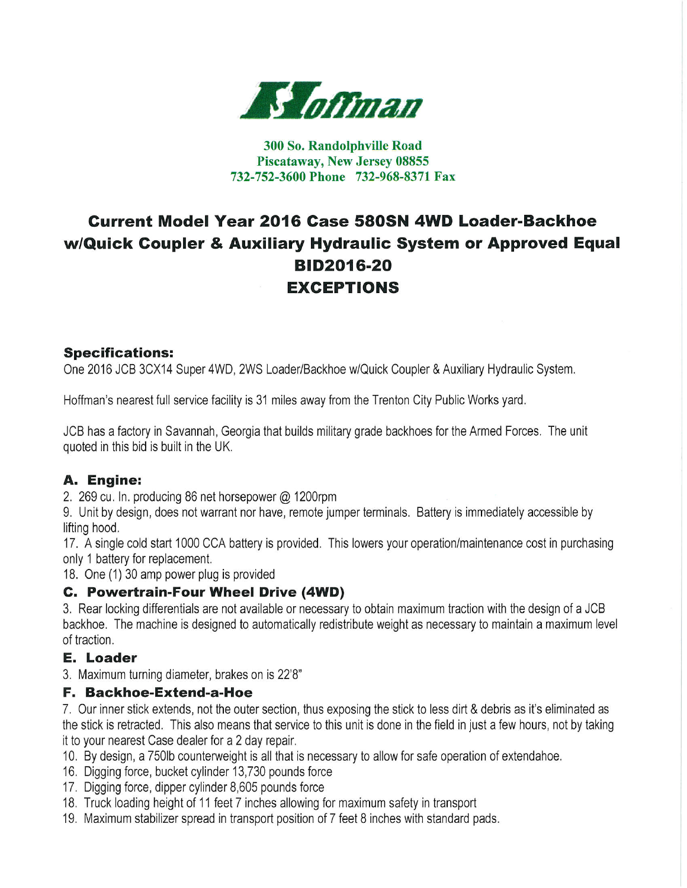

#### 300 So. Randolphville Road Piscataway, New Jersey 08855 732-752-3600 Phone 732-968-8371 Fax

# **Current Model Year 2016 Case 580SN 4WD Loader-Backhoe** w/Quick Coupler & Auxiliary Hydraulic System or Approved Equal **BID2016-20 EXCEPTIONS**

#### **Specifications:**

One 2016 JCB 3CX14 Super 4WD, 2WS Loader/Backhoe w/Quick Coupler & Auxiliary Hydraulic System.

Hoffman's nearest full service facility is 31 miles away from the Trenton City Public Works yard.

JCB has a factory in Savannah, Georgia that builds military grade backhoes for the Armed Forces. The unit quoted in this bid is built in the UK.

### A. Engine:

2. 269 cu. In. producing 86 net horsepower @ 1200rpm

9. Unit by design, does not warrant nor have, remote jumper terminals. Battery is immediately accessible by lifting hood.

17. A single cold start 1000 CCA battery is provided. This lowers your operation/maintenance cost in purchasing only 1 battery for replacement.

18. One (1) 30 amp power plug is provided

#### C. Powertrain-Four Wheel Drive (4WD)

3. Rear locking differentials are not available or necessary to obtain maximum traction with the design of a JCB backhoe. The machine is designed to automatically redistribute weight as necessary to maintain a maximum level of traction.

#### **E.** Loader

3. Maximum turning diameter, brakes on is 22'8"

#### F. Backhoe-Extend-a-Hoe

7. Our inner stick extends, not the outer section, thus exposing the stick to less dirt & debris as it's eliminated as the stick is retracted. This also means that service to this unit is done in the field in just a few hours, not by taking it to your nearest Case dealer for a 2 day repair.

- 10. By design, a 750lb counterweight is all that is necessary to allow for safe operation of extendahoe.
- 16. Digging force, bucket cylinder 13,730 pounds force
- 17. Digging force, dipper cylinder 8,605 pounds force
- 18. Truck loading height of 11 feet 7 inches allowing for maximum safety in transport
- 19. Maximum stabilizer spread in transport position of 7 feet 8 inches with standard pads.